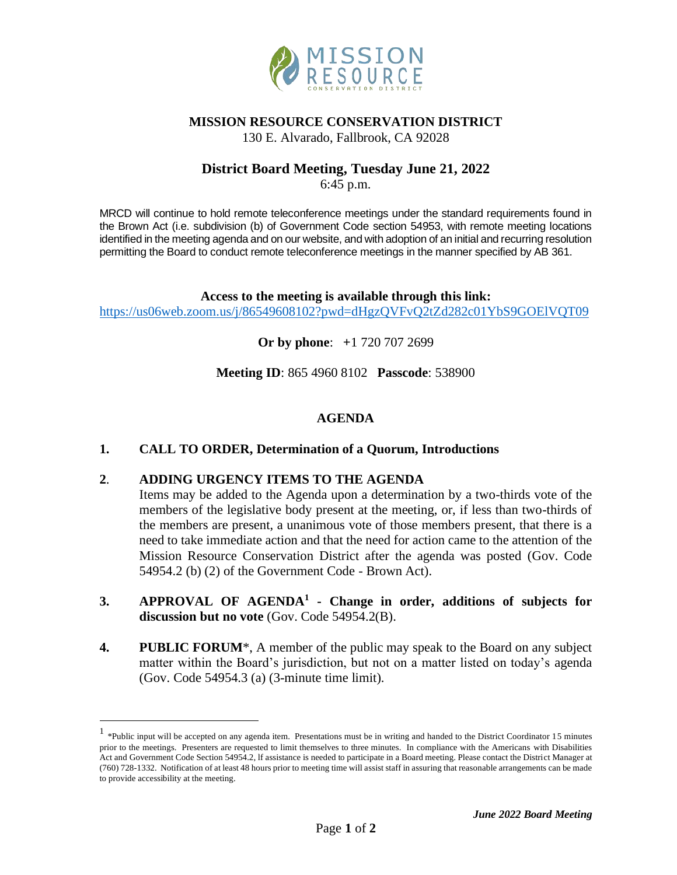

## **MISSION RESOURCE CONSERVATION DISTRICT**

130 E. Alvarado, Fallbrook, CA 92028

# **District Board Meeting, Tuesday June 21, 2022**

6:45 p.m.

MRCD will continue to hold remote teleconference meetings under the standard requirements found in the Brown Act (i.e. subdivision (b) of Government Code section 54953, with remote meeting locations identified in the meeting agenda and on our website, and with adoption of an initial and recurring resolution permitting the Board to conduct remote teleconference meetings in the manner specified by AB 361.

**Access to the meeting is available through this link:** <https://us06web.zoom.us/j/86549608102?pwd=dHgzQVFvQ2tZd282c01YbS9GOElVQT09>

**Or by phone**: **+**1 720 707 2699

**Meeting ID**: 865 4960 8102 **Passcode**: 538900

#### **AGENDA**

#### **1. CALL TO ORDER, Determination of a Quorum, Introductions**

### **2**. **ADDING URGENCY ITEMS TO THE AGENDA**

Items may be added to the Agenda upon a determination by a two-thirds vote of the members of the legislative body present at the meeting, or, if less than two-thirds of the members are present, a unanimous vote of those members present, that there is a need to take immediate action and that the need for action came to the attention of the Mission Resource Conservation District after the agenda was posted (Gov. Code 54954.2 (b) (2) of the Government Code - Brown Act).

- **3. APPROVAL OF AGENDA<sup>1</sup> - Change in order, additions of subjects for discussion but no vote** (Gov. Code 54954.2(B).
- **4. PUBLIC FORUM**\*, A member of the public may speak to the Board on any subject matter within the Board's jurisdiction, but not on a matter listed on today's agenda (Gov. Code 54954.3 (a) (3-minute time limit).

<sup>&</sup>lt;sup>1</sup> \*Public input will be accepted on any agenda item. Presentations must be in writing and handed to the District Coordinator 15 minutes prior to the meetings. Presenters are requested to limit themselves to three minutes. In compliance with the Americans with Disabilities Act and Government Code Section 54954.2, lf assistance is needed to participate in a Board meeting. Please contact the District Manager at (760) 728-1332. Notification of at least 48 hours prior to meeting time will assist staff in assuring that reasonable arrangements can be made to provide accessibility at the meeting.